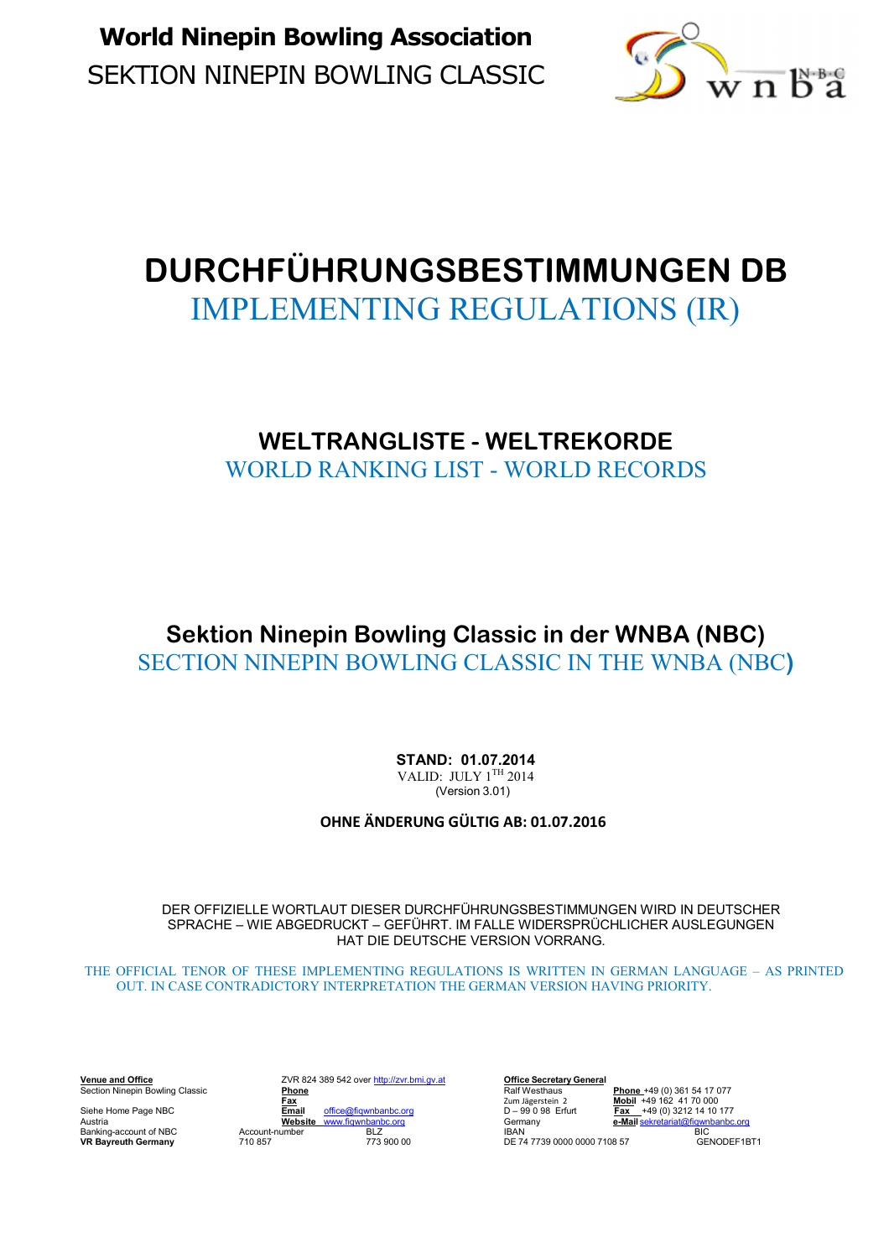SEKTION NINEPIN BOWLING CLASSIC **World Ninepin Bowling Association** 



# **DURCHFÜHRUNGSBESTIMMUNGEN DB**  IMPLEMENTING REGULATIONS (IR)

## **WELTRANGLISTE - WELTREKORDE**  WORLD RANKING LIST - WORLD RECORDS

## **Sektion Ninepin Bowling Classic in der WNBA (NBC)**  SECTION NINEPIN BOWLING CLASSIC IN THE WNBA (NBC**)**

**STAND: 01.07.2014** VALID: JULY  $1<sup>TH</sup> 2014$ (Version 3.01)

**OHNE ÄNDERUNG GÜLTIG AB: 01.07.2016** 

DER OFFIZIELLE WORTLAUT DIESER DURCHFÜHRUNGSBESTIMMUNGEN WIRD IN DEUTSCHER SPRACHE – WIE ABGEDRUCKT – GEFÜHRT. IM FALLE WIDERSPRÜCHLICHER AUSLEGUNGEN HAT DIE DEUTSCHE VERSION VORRANG.

THE OFFICIAL TENOR OF THESE IMPLEMENTING REGULATIONS IS WRITTEN IN GERMAN LANGUAGE – AS PRINTED OUT. IN CASE CONTRADICTORY INTERPRETATION THE GERMAN VERSION HAVING PRIORITY.

**VR 824 389 542 over http://zvr.bmi.gv.at Deffice Secretary General<br>
Phone** Ralf Westhaus Section Ninepin Bowling Classic **Phone** Ralf Westhaus **Phone** +49 (0) 361 54 17 077 **Fax** Zum Jägerstein 2 **Mobil** +49 162 41 70 000 Siehe Home Page NBC **Email** office@fiqwnbanbc.org D – 99 0 98 Erfurt **Fax** +49 (0) 3212 14 10 177 Siehe Home Page NBC<br>
Austria **Website With the Community of the Community Constant of Manufacture of Mail Sekretariat (@fitermany Austria<br>
Banking-account of NBC Account-number BLZ BAN BAN<br>
Banking-account of NBC Account-n** لاست المستقل المستقل المستقل المستقل المستقل المستقل المستقل المستقل المستقل المستقل المستقل المستقل المستقل ا<br>Banking-account of NBC and Account-number BLZ IBAN Bayreuth Germany BIC<br>DE 74 7739 0000 0000 7108 57 GENODEF1B

**IBAN**<br>DE 74 7739 0000 0000 7108 57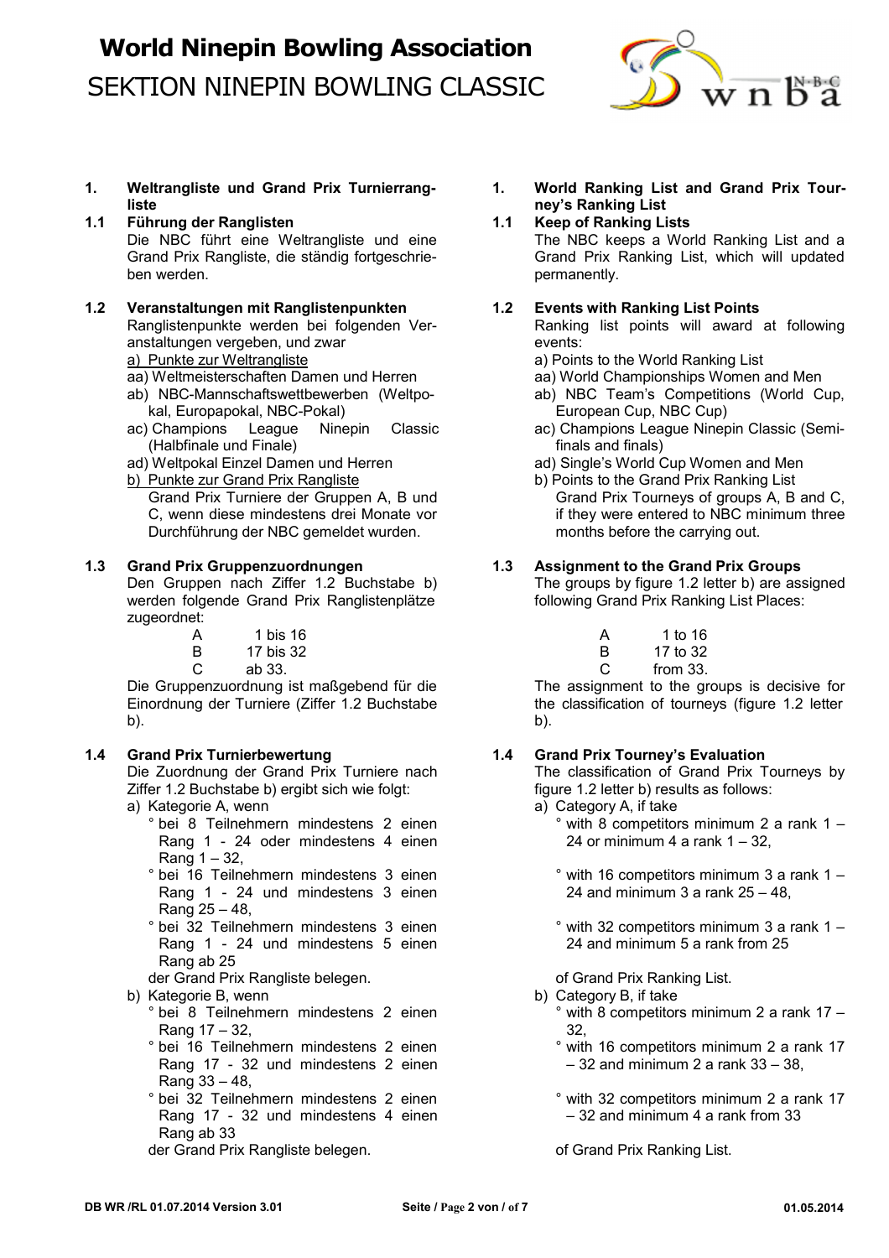

- **1. Weltrangliste und Grand Prix Turnierrangliste**
- **1.1 Führung der Ranglisten** Die NBC führt eine Weltrangliste und eine The NBC keeps a World Ranking List and a<br>Grand Prix Rangliste die ständig fortgeschrie-<br>Grand Prix Ranking List, which will updated ben werden. **permanently.**
- **1.2 Veranstaltungen mit Ranglistenpunkten** Ranglistenpunkte werden bei folgenden Veranstaltungen vergeben, und zwar execution of the series:
	-
	-
	- kal, Europapokal, NBC-Pokal)<br>Champions League Ninepin Classic (Champions League Ninep (Champions League Ninep
	- ac) Champions League Ninepin Classic ac) Champions League Ninepin Classic (Semi- (Halbfinale und Finale)
	-
	- Punkte zur Grand Prix Rangliste<br>Grand Prix Turniere der Gruppen A, B und Grand Prix Tourneys of groups A, B
		- Durchführung der NBC gemeldet wurden. months before the carrying out.

### **1.3 Grand Prix Gruppenzuordnungen**

Den Gruppen nach Ziffer 1.2 Buchstabe b) werden folgende Grand Prix Ranglistenplätze zugeordnet:

| A             | 1 bis 16  | 1 to 16  |
|---------------|-----------|----------|
| B             | 17 bis 32 | 17 to 32 |
| $\mathcal{C}$ | - ah 33   | from 33  |

Die Gruppenzuordnung ist maßgebend für die The assignment to the groups is decisive for Einordnung der Turniere (Ziffer 1.2 Buchstabe the classification of tourneys (figure 1.2 letter b). b).

### **1.4 Grand Prix Turnierbewertung**

Die Zuordnung der Grand Prix Turniere nach Ziffer 1.2 Buchstabe b) ergibt sich wie folgt: figure 1.2 letter b) results as follows: a) Kategorie A, wenn and a strong and a) Category A, if take

- - Rang 1 24 oder mindestens 4 einen Rang  $1 - 32$ ,
	- ° bei 16 Teilnehmern mindestens 3 einen Rang 1 - 24 und mindestens 3 einen Rang 25 – 48,
	- ° bei 32 Teilnehmern mindestens 3 einen Rang 1 - 24 und mindestens 5 einen Rang ab 25
- der Grand Prix Rangliste belegen.
- b) Kategorie B, wenn
	- ° bei 8 Teilnehmern mindestens 2 einen Rang 17 – 32,
	- ° bei 16 Teilnehmern mindestens 2 einen Rang 17 - 32 und mindestens 2 einen Rang 33 – 48,
	- ° bei 32 Teilnehmern mindestens 2 einen Rang 17 - 32 und mindestens 4 einen Rang ab 33
	- der Grand Prix Rangliste belegen.
- **1. World Ranking List and Grand Prix Tourney's Ranking List**
- **1.1 Keep of Ranking Lists**

Grand Prix Ranking List, which will updated

### **1.2 Events with Ranking List Points**

Ranking list points will award at following

- a) Punkte zur Weltrangliste and the state and the World Ranking List
- aa) Weltmeisterschaften Damen und Herren aa) World Championships Women and Men
- ab) NBC-Mannschaftswettbewerben (Weltpo- ab) NBC Team's Competitions (World Cup,
	-
- ad) Weltpokal Einzel Damen und Herren and ad) Single's World Cup Women and Men<br>
b) Punkte zur Grand Prix Rangliste and Prix Rangliste and Prix Ranking List
	- Grand Prix Turniere der Gruppen A, B und Grand Prix Tourneys of groups A, B and C, C, wenn diese mindestens drei Monate vor fit they were entered to NBC minimum three if they were entered to NBC minimum three

### **1.3 Assignment to the Grand Prix Groups**

The groups by figure 1.2 letter b) are assigned following Grand Prix Ranking List Places:

 $C$  ab 33. C from 33.

### **1.4 Grand Prix Tourney's Evaluation**

The classification of Grand Prix Tourneys by

- 
- bei 8 Teilnehmern mindestens 2 einen and <sup>°</sup> with 8 competitors minimum 2 a rank 1 24 or minimum 4 a rank  $1 - 32$ .
	- ° with 16 competitors minimum 3 a rank 1 24 and minimum 3 a rank  $25 - 48$ .

° with 32 competitors minimum 3 a rank 1 – 24 and minimum 5 a rank from 25

of Grand Prix Ranking List.

- b) Category B, if take
	- ° with 8 competitors minimum 2 a rank 17 32,
	- ° with 16 competitors minimum 2 a rank 17  $-32$  and minimum 2 a rank  $33 - 38$ ,
	- ° with 32 competitors minimum 2 a rank 17 – 32 and minimum 4 a rank from 33

of Grand Prix Ranking List.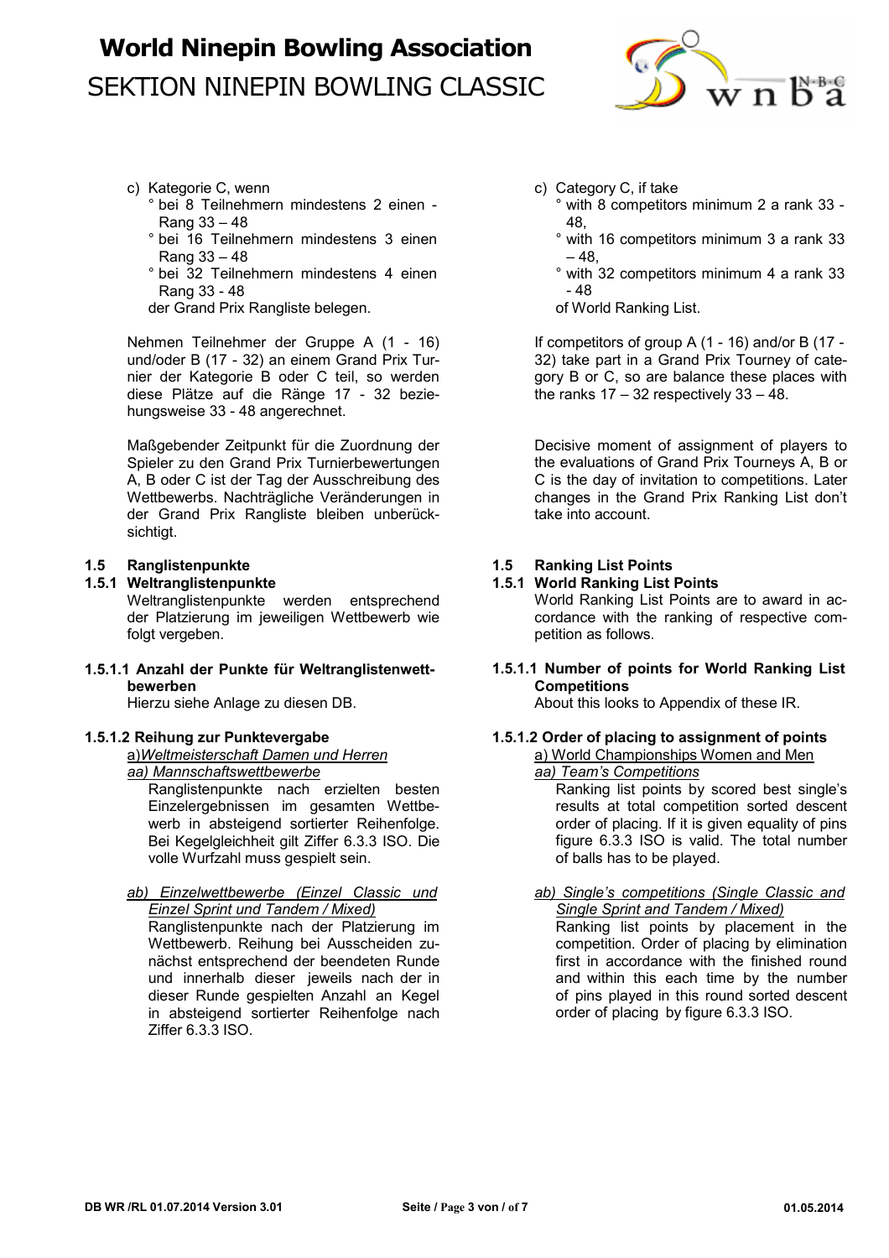

- c) Kategorie C, wenn
	- ° bei 8 Teilnehmern mindestens 2 einen Rang 33 – 48
	- ° bei 16 Teilnehmern mindestens 3 einen Rang 33 – 48
	- ° bei 32 Teilnehmern mindestens 4 einen Rang 33 - 48

der Grand Prix Rangliste belegen.

Nehmen Teilnehmer der Gruppe A (1 - 16) und/oder B (17 - 32) an einem Grand Prix Turnier der Kategorie B oder C teil, so werden diese Plätze auf die Ränge 17 - 32 beziehungsweise 33 - 48 angerechnet.

Maßgebender Zeitpunkt für die Zuordnung der Spieler zu den Grand Prix Turnierbewertungen A, B oder C ist der Tag der Ausschreibung des Wettbewerbs. Nachträgliche Veränderungen in der Grand Prix Rangliste bleiben unberücksichtigt.

### **1.5 Ranglistenpunkte**

### **1.5.1 Weltranglistenpunkte**

Weltranglistenpunkte werden entsprechend der Platzierung im jeweiligen Wettbewerb wie folgt vergeben.

**1.5.1.1 Anzahl der Punkte für Weltranglistenwettbewerben**

Hierzu siehe Anlage zu diesen DB.

#### **1.5.1.2 Reihung zur Punktevergabe**

a) *Weltmeisterschaft Damen und Herren aa) Mannschaftswettbewerbe*

Ranglistenpunkte nach erzielten besten Einzelergebnissen im gesamten Wettbewerb in absteigend sortierter Reihenfolge. Bei Kegelgleichheit gilt Ziffer 6.3.3 ISO. Die volle Wurfzahl muss gespielt sein.

#### *ab) Einzelwettbewerbe (Einzel Classic und Einzel Sprint und Tandem / Mixed)*

Ranglistenpunkte nach der Platzierung im Wettbewerb. Reihung bei Ausscheiden zunächst entsprechend der beendeten Runde und innerhalb dieser jeweils nach der in dieser Runde gespielten Anzahl an Kegel in absteigend sortierter Reihenfolge nach Ziffer 6.3.3 ISO.

- c) Category C, if take
	- ° with 8 competitors minimum 2 a rank 33 48,
	- ° with 16 competitors minimum 3 a rank 33  $-48$
	- ° with 32 competitors minimum 4 a rank 33 - 48
	- of World Ranking List.

If competitors of group A (1 - 16) and/or B (17 - 32) take part in a Grand Prix Tourney of category B or C, so are balance these places with the ranks  $17 - 32$  respectively  $33 - 48$ .

Decisive moment of assignment of players to the evaluations of Grand Prix Tourneys A, B or C is the day of invitation to competitions. Later changes in the Grand Prix Ranking List don't take into account.

### **1.5 Ranking List Points**

#### **1.5.1 World Ranking List Points**

World Ranking List Points are to award in accordance with the ranking of respective competition as follows.

#### **1.5.1.1 Number of points for World Ranking List Competitions**

About this looks to Appendix of these IR.

#### **1.5.1.2 Order of placing to assignment of points**  a) World Championships Women and Men

#### *aa) Team's Competitions*

Ranking list points by scored best single's results at total competition sorted descent order of placing. If it is given equality of pins figure 6.3.3 ISO is valid. The total number of balls has to be played.

#### *ab) Single's competitions (Single Classic and Single Sprint and Tandem / Mixed)*

Ranking list points by placement in the competition. Order of placing by elimination first in accordance with the finished round and within this each time by the number of pins played in this round sorted descent order of placing by figure 6.3.3 ISO.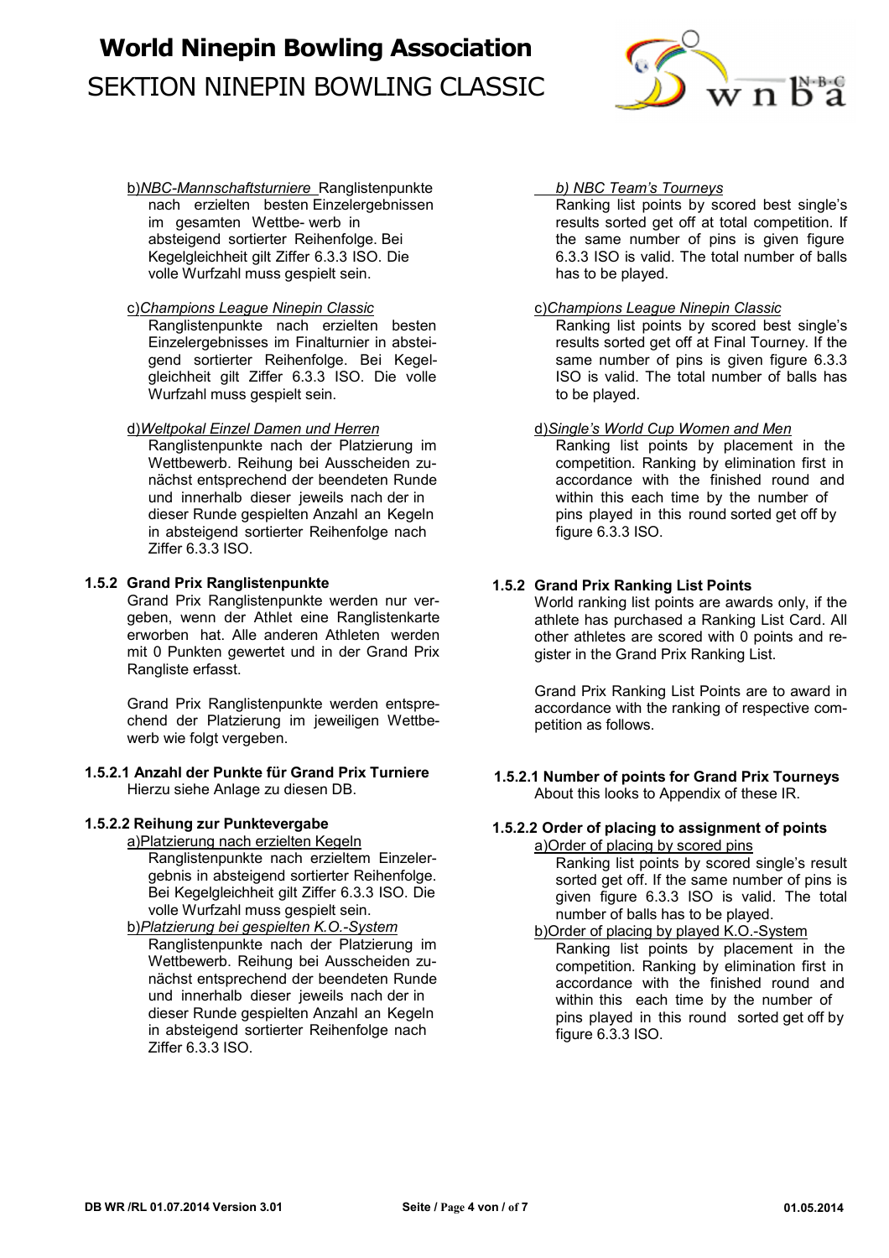

b) *NBC-Mannschaftsturniere* Ranglistenpunkte nach erzielten besten Einzelergebnissen im gesamten Wettbe- werb in absteigend sortierter Reihenfolge. Bei Kegelgleichheit gilt Ziffer 6.3.3 ISO. Die volle Wurfzahl muss gespielt sein.

#### c) *Champions League Ninepin Classic*

Ranglistenpunkte nach erzielten besten Einzelergebnisses im Finalturnier in absteigend sortierter Reihenfolge. Bei Kegelgleichheit gilt Ziffer 6.3.3 ISO. Die volle Wurfzahl muss gespielt sein.

### d) *Weltpokal Einzel Damen und Herren*

Ranglistenpunkte nach der Platzierung im Wettbewerb. Reihung bei Ausscheiden zunächst entsprechend der beendeten Runde und innerhalb dieser jeweils nach der in dieser Runde gespielten Anzahl an Kegeln in absteigend sortierter Reihenfolge nach Ziffer 6.3.3 ISO.

#### **1.5.2 Grand Prix Ranglistenpunkte**

Grand Prix Ranglistenpunkte werden nur vergeben, wenn der Athlet eine Ranglistenkarte erworben hat. Alle anderen Athleten werden mit 0 Punkten gewertet und in der Grand Prix Rangliste erfasst.

Grand Prix Ranglistenpunkte werden entsprechend der Platzierung im jeweiligen Wettbewerb wie folgt vergeben.

#### **1.5.2.1 Anzahl der Punkte für Grand Prix Turniere** Hierzu siehe Anlage zu diesen DB.

#### **1.5.2.2 Reihung zur Punktevergabe**

a)Platzierung nach erzielten Kegeln Ranglistenpunkte nach erzieltem Einzelergebnis in absteigend sortierter Reihenfolge. Bei Kegelgleichheit gilt Ziffer 6.3.3 ISO. Die volle Wurfzahl muss gespielt sein.

## b) *Platzierung bei gespielten K.O.-System*

Ranglistenpunkte nach der Platzierung im Wettbewerb. Reihung bei Ausscheiden zunächst entsprechend der beendeten Runde und innerhalb dieser jeweils nach der in dieser Runde gespielten Anzahl an Kegeln in absteigend sortierter Reihenfolge nach Ziffer 6.3.3 ISO.

#### *b) NBC Team's Tourneys*

Ranking list points by scored best single's results sorted get off at total competition. If the same number of pins is given figure 6.3.3 ISO is valid. The total number of balls has to be played.

#### c)*Champions League Ninepin Classic*

Ranking list points by scored best single's results sorted get off at Final Tourney. If the same number of pins is given figure 6.3.3 ISO is valid. The total number of balls has to be played.

#### d) *Single's World Cup Women and Men*

Ranking list points by placement in the competition. Ranking by elimination first in accordance with the finished round and within this each time by the number of pins played in this round sorted get off by figure 6.3.3 ISO.

### **1.5.2 Grand Prix Ranking List Points**

World ranking list points are awards only, if the athlete has purchased a Ranking List Card. All other athletes are scored with 0 points and register in the Grand Prix Ranking List.

Grand Prix Ranking List Points are to award in accordance with the ranking of respective competition as follows.

#### **1.5.2.1 Number of points for Grand Prix Tourneys** About this looks to Appendix of these IR.

### **1.5.2.2 Order of placing to assignment of points**

a)Order of placing by scored pins Ranking list points by scored single's result sorted get off. If the same number of pins is given figure 6.3.3 ISO is valid. The total number of balls has to be played.

b)Order of placing by played K.O.-System Ranking list points by placement in the competition. Ranking by elimination first in accordance with the finished round and within this each time by the number of pins played in this round sorted get off by figure 6.3.3 ISO.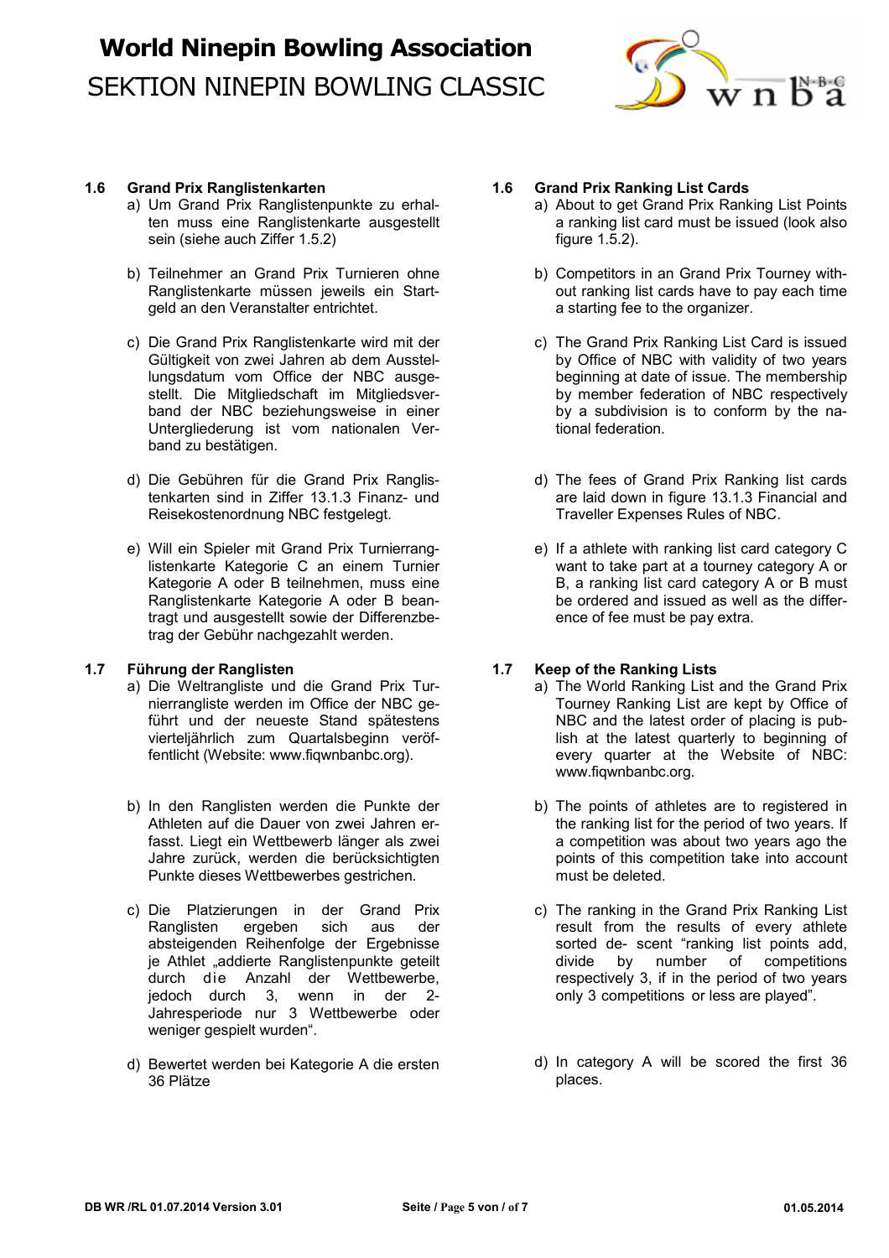

#### **1.6 Grand Prix Ranglistenkarten**

- a) Um Grand Prix Ranglistenpunkte zu erhalten muss eine Ranglistenkarte ausgestellt sein (siehe auch Ziffer 1.5.2)
- b) Teilnehmer an Grand Prix Turnieren ohne Ranglistenkarte müssen jeweils ein Startgeld an den Veranstalter entrichtet.
- c) Die Grand Prix Ranglistenkarte wird mit der Gültigkeit von zwei Jahren ab dem Ausstellungsdatum vom Office der NBC ausgestellt. Die Mitgliedschaft im Mitgliedsverband der NBC beziehungsweise in einer Untergliederung ist vom nationalen Verband zu bestätigen.
- d) Die Gebühren für die Grand Prix Ranglistenkarten sind in Ziffer 13.1.3 Finanz- und Reisekostenordnung NBC festgelegt.
- e) Will ein Spieler mit Grand Prix Turnierranglistenkarte Kategorie C an einem Turnier Kategorie A oder B teilnehmen, muss eine Ranglistenkarte Kategorie A oder B beantragt und ausgestellt sowie der Differenzbetrag der Gebühr nachgezahlt werden.

#### **1.7 Führung der Ranglisten**

- a) Die Weltrangliste und die Grand Prix Turnierrangliste werden im Office der NBC geführt und der neueste Stand spätestens vierteljährlich zum Quartalsbeginn veröffentlicht (Website: www.fiqwnbanbc.org).
- b) In den Ranglisten werden die Punkte der Athleten auf die Dauer von zwei Jahren erfasst. Liegt ein Wettbewerb länger als zwei Jahre zurück, werden die berücksichtigten Punkte dieses Wettbewerbes gestrichen.
- c) Die Platzierungen in der Grand Prix Ranglisten ergeben sich aus der absteigenden Reihenfolge der Ergebnisse je Athlet "addierte Ranglistenpunkte geteilt durch die Anzahl der Wettbewerbe, jedoch durch 3, wenn in der 2- Jahresperiode nur 3 Wettbewerbe oder weniger gespielt wurden".
- d) Bewertet werden bei Kategorie A die ersten 36 Plätze

### **1.6 Grand Prix Ranking List Cards**

- a) About to get Grand Prix Ranking List Points a ranking list card must be issued (look also figure 1.5.2).
- b) Competitors in an Grand Prix Tourney without ranking list cards have to pay each time a starting fee to the organizer.
- c) The Grand Prix Ranking List Card is issued by Office of NBC with validity of two years beginning at date of issue. The membership by member federation of NBC respectively by a subdivision is to conform by the national federation.
- d) The fees of Grand Prix Ranking list cards are laid down in figure 13.1.3 Financial and Traveller Expenses Rules of NBC.
- e) If a athlete with ranking list card category C want to take part at a tourney category A or B, a ranking list card category A or B must be ordered and issued as well as the difference of fee must be pay extra.

### **1.7 Keep of the Ranking Lists**

- a) The World Ranking List and the Grand Prix Tourney Ranking List are kept by Office of NBC and the latest order of placing is publish at the latest quarterly to beginning of every quarter at the Website of NBC: www.fiqwnbanbc.org.
- b) The points of athletes are to registered in the ranking list for the period of two years. If a competition was about two years ago the points of this competition take into account must be deleted.
- c) The ranking in the Grand Prix Ranking List result from the results of every athlete sorted de- scent "ranking list points add, divide by number of competitions respectively 3, if in the period of two years only 3 competitions or less are played".
- d) In category A will be scored the first 36 places.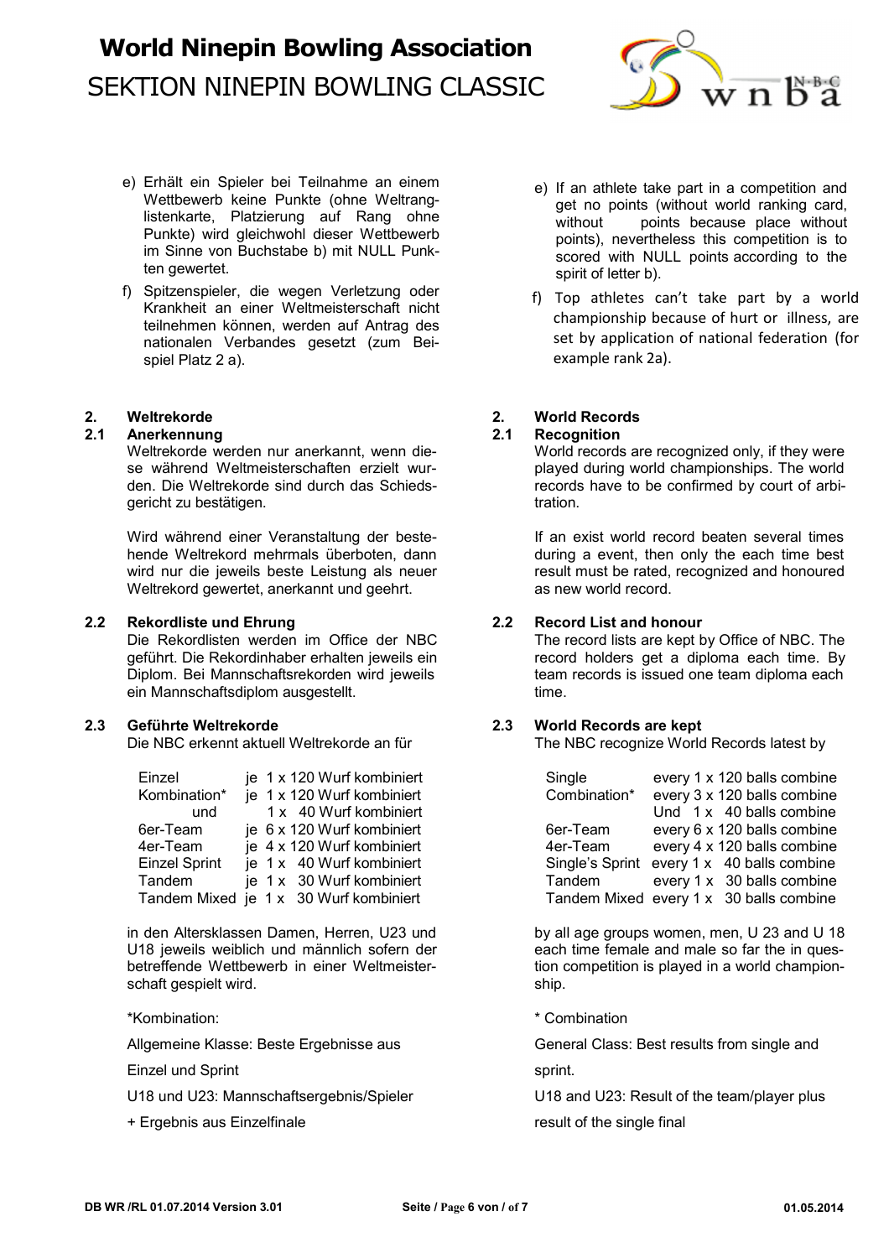

- e) Erhält ein Spieler bei Teilnahme an einem Wettbewerb keine Punkte (ohne Weltranglistenkarte, Platzierung auf Rang ohne Punkte) wird gleichwohl dieser Wettbewerb im Sinne von Buchstabe b) mit NULL Punkten gewertet.
- f) Spitzenspieler, die wegen Verletzung oder Krankheit an einer Weltmeisterschaft nicht teilnehmen können, werden auf Antrag des nationalen Verbandes gesetzt (zum Beispiel Platz 2 a).

**2.1 Recognition**<br>Weltrekorde werden nur anerkannt, wenn die-<br>World records are recognized only, if they were Weltrekorde werden nur anerkannt, wenn die-<br>se während Weltmeisterschaften erzielt wurse während Weltmeisterschaften erzielt wur-<br>
den. Die Weltrekorde sind durch das Schieds-<br>
records have to be confirmed by court of arbigericht zu bestätigen. The station of the station of the station.

Wird während einer Veranstaltung der beste-<br>If an exist world record beaten several times hende Weltrekord mehrmals überboten, dann during a event, then only the each time best wird nur die jeweils beste Leistung als neuer result must be rated, recognized and honoured Weltrekord gewertet, anerkannt und geehrt. **as new world record.** And we world record.

#### **2.2 Rekordliste und Ehrung 2.2 Record List and honour**

Die Rekordlisten werden im Office der NBC The record lists are kept by Office of NBC. The geführt. Die Rekordinhaber erhalten jeweils ein record holders get a diploma each time. By Diplom. Bei Mannschaftsrekorden wird jeweils team records is issued one team diploma each ein Mannschaftsdiplom ausgestellt. The control of time.

**2.3 Geführte Weltrekorde 2.3 World Records are kept**

| Einzel               |  | je 1 x 120 Wurf kombiniert             |
|----------------------|--|----------------------------------------|
| Kombination*         |  | je 1 x 120 Wurf kombiniert             |
| und                  |  | 1 x 40 Wurf kombiniert                 |
| 6er-Team             |  | je 6 x 120 Wurf kombiniert             |
| 4er-Team             |  | je 4 x 120 Wurf kombiniert             |
| <b>Einzel Sprint</b> |  | je 1 x 40 Wurf kombiniert              |
| Tandem               |  | je 1 x 30 Wurf kombiniert              |
|                      |  | Tandem Mixed je 1 x 30 Wurf kombiniert |

in den Altersklassen Damen, Herren, U23 und by all age groups women, men, U 23 and U 18<br>U18 jeweils weiblich und männlich sofern der som be each time female and male so far the in ques-U18 jeweils weiblich und männlich sofern der betreffende Wettbewerb in einer Weltmeister-<br>
tion competition is played in a world championschaft gespielt wird. Ship. Ship. Ship. Ship. Ship. Ship. Ship. Ship. Ship. Ship. Ship. Ship. Ship. Ship. Ship. Ship. Ship. Ship. Ship. Ship. Ship. Ship. Ship. Ship. Ship. Ship. Ship. Ship. Ship. Ship. Ship. Ship. Ship. Sh

\*Kombination: \* Combination

Einzel und Sprint sprint.

+ Ergebnis aus Einzelfinale result of the single final

- e) If an athlete take part in a competition and get no points (without world ranking card, without points because place without points), nevertheless this competition is to scored with NULL points according to the spirit of letter b).
- f) Top athletes can't take part by a world championship because of hurt or illness, are set by application of national federation (for example rank 2a).

## **2. Weltrekorde 2. World Records**

records have to be confirmed by court of arbi-

The NBC recognize World Records latest by

| Einzel        | je 1 x 120 Wurf kombiniert             | Single       | every 1 x 120 balls combine                |
|---------------|----------------------------------------|--------------|--------------------------------------------|
| Kombination*  | je 1 x 120 Wurf kombiniert             | Combination* | every 3 x 120 balls combine                |
| und           | 1 x 40 Wurf kombiniert                 |              | Und 1 x 40 balls combine                   |
| 6er-Team      | je 6 x 120 Wurf kombiniert             | 6er-Team     | every 6 x 120 balls combine                |
| 4er-Team      | je 4 x 120 Wurf kombiniert             | 4er-Team     | every 4 x 120 balls combine                |
| Einzel Sprint | je 1 x 40 Wurf kombiniert              |              | Single's Sprint every 1 x 40 balls combine |
| Tandem        | je 1 x 30 Wurf kombiniert              | Tandem       | every 1 x 30 balls combine                 |
|               | Tandem Mixed je 1 x 30 Wurf kombiniert |              | Tandem Mixed every 1 x 30 balls combine    |

Allgemeine Klasse: Beste Ergebnisse aus General Class: Best results from single and

U18 und U23: Mannschaftsergebnis/Spieler **Network CO23: Result of the team/player plus**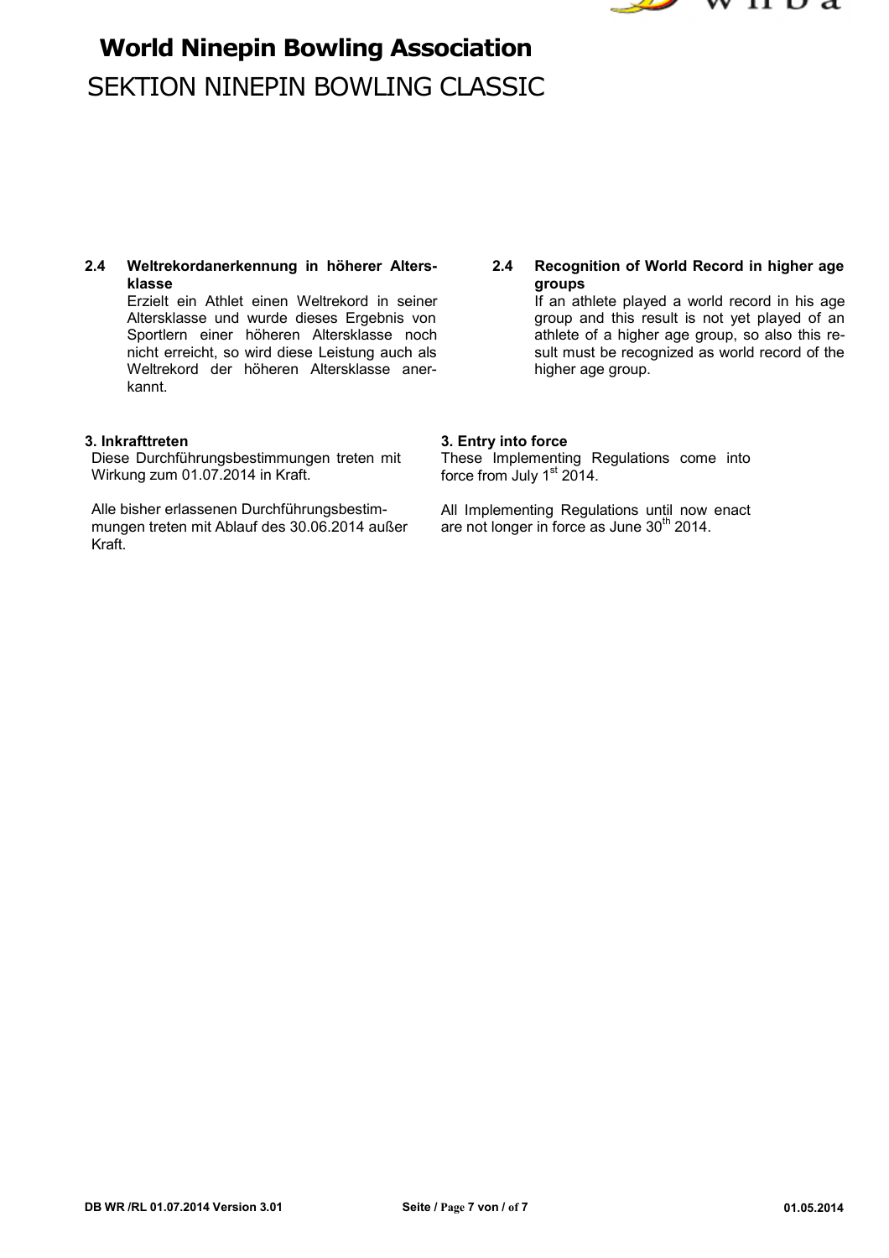



**2.4 Weltrekordanerkennung in höherer Alters- 2.4 Recognition of World Record in higher age klasse groups**

Altersklasse und wurde dieses Ergebnis von either agroup and this result is not yet played of an Sportlern einer höheren Altersklasse noch athlete of a higher age group, so also this re-Sportlern einer höheren Altersklasse noch athlete of a higher age group, so also this re-<br>
nicht erreicht, so wird diese Leistung auch als
sult must be recognized as world record of the nicht erreicht, so wird diese Leistung auch als sult must be recognization as world record well record well re<br>Weltrekord der höheren Altersklasse aner-Weltrekord der höheren Altersklasse anerkannt.

Diese Durchführungsbestimmungen treten mit Wirkung zum 01.07.2014 in Kraft.

Alle bisher erlassenen Durchführungsbestimmungen treten mit Ablauf des 30.06.2014 außer Kraft.

Erzielt ein Athlet einen Weltrekord in seiner **If an athlete played a world record in his age**<br>Altersklasse und wurde dieses Ergebnis von **In the State and the senation of an** 

### **3. Inkrafttreten 3. Entry into force**

These Implementing Regulations come into force from July 1<sup>st</sup> 2014.

All Implementing Regulations until now enact are not longer in force as June 30<sup>th</sup> 2014.